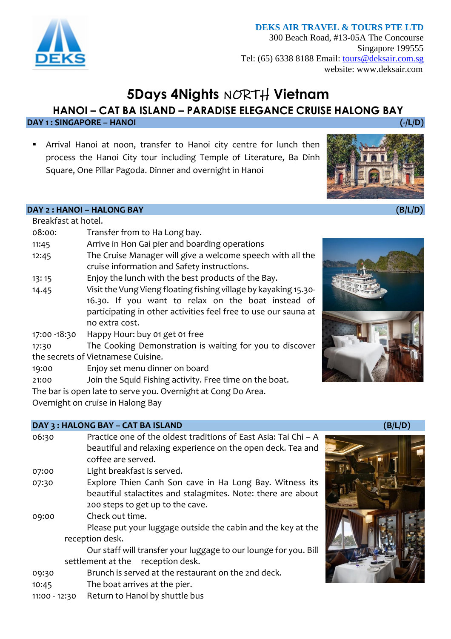# **DEKS AIR TRAVEL & TOURS PTE LTD**

300 Beach Road, #13-05A The Concourse Singapore 199555 Tel: (65) 6338 8188 Email: [tours@deksair.com.sg](mailto:tours@deksair.com.sg) website: www.deksair.com

# **5Days 4Nights** NORTH **Vietnam**

**HANOI – CAT BA ISLAND – PARADISE ELEGANCE CRUISE HALONG BAY**

**DAY 1 : SINGAPORE – HANOI (-/L/D)** 

**E** Arrival Hanoi at noon, transfer to Hanoi city centre for lunch then process the Hanoi City tour including Temple of Literature, Ba Dinh Square, One Pillar Pagoda. Dinner and overnight in Hanoi



**DAY 2 : HANOI – HALONG BAY (B/L/D)** 

| Breakfast at hotel.                |                                                                  |  |  |  |
|------------------------------------|------------------------------------------------------------------|--|--|--|
| 08:00:                             | Transfer from to Ha Long bay.                                    |  |  |  |
| 11:45                              | Arrive in Hon Gai pier and boarding operations                   |  |  |  |
| 12:45                              | The Cruise Manager will give a welcome speech with all the       |  |  |  |
|                                    | cruise information and Safety instructions.                      |  |  |  |
| 13:15                              | Enjoy the lunch with the best products of the Bay.               |  |  |  |
| 14.45                              | Visit the Vung Vieng floating fishing village by kayaking 15.30- |  |  |  |
|                                    | 16.30. If you want to relax on the boat instead of               |  |  |  |
|                                    | participating in other activities feel free to use our sauna at  |  |  |  |
|                                    | no extra cost.                                                   |  |  |  |
| 17:00 -18:30                       | Happy Hour: buy 01 get 01 free                                   |  |  |  |
| 17:30                              | The Cooking Demonstration is waiting for you to discover         |  |  |  |
| the secrets of Vietnamese Cuisine. |                                                                  |  |  |  |
| 19:00                              | Enjoy set menu dinner on board                                   |  |  |  |
| 21:00                              | Join the Squid Fishing activity. Free time on the boat.          |  |  |  |
|                                    | The bar is open late to serve you. Overnight at Cong Do Area.    |  |  |  |
|                                    |                                                                  |  |  |  |

Overnight on cruise in Halong Bay

# **DAY 3 : HALONG BAY – CAT BA ISLAND (B/L/D)**

| 06:30 | Practice one of the oldest traditions of East Asia: Tai Chi - A  |  |
|-------|------------------------------------------------------------------|--|
|       | beautiful and relaxing experience on the open deck. Tea and      |  |
|       | coffee are served.                                               |  |
| 07:00 | Light breakfast is served.                                       |  |
| 07:30 | Explore Thien Canh Son cave in Ha Long Bay. Witness its          |  |
|       | beautiful stalactites and stalagmites. Note: there are about     |  |
|       | 200 steps to get up to the cave.                                 |  |
| 09:00 | Check out time.                                                  |  |
|       | Please put your luggage outside the cabin and the key at the     |  |
|       | reception desk.                                                  |  |
|       | Our staff will transfer your luggage to our lounge for you. Bill |  |
|       | settlement at the<br>reception desk.                             |  |
| 09:30 | Brunch is served at the restaurant on the 2nd deck.              |  |
| 10:45 | The boat arrives at the pier.                                    |  |



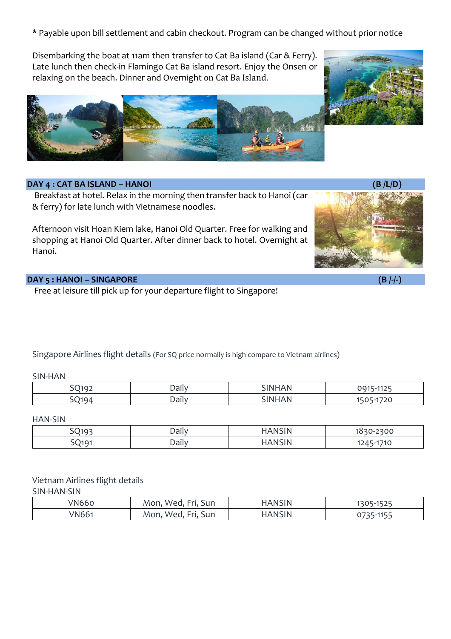\* Payable upon bill settlement and cabin checkout. Program can be changed without prior notice

Disembarking the boat at 11am then transfer to Cat Ba island (Car & Ferry). Late lunch then check-in Flamingo Cat Ba island resort. Enjoy the Onsen or relaxing on the beach. Dinner and Overnight on Cat Ba Island.



### **DAY 4 : CAT BA ISLAND – HANOI (B /L/D)**

Breakfast at hotel. Relax in the morning then transfer back to Hanoi (car & ferry) for late lunch with Vietnamese noodles.

Afternoon visit Hoan Kiem lake, Hanoi Old Quarter. Free for walking and shopping at Hanoi Old Quarter. After dinner back to hotel. Overnight at Hanoi.



# **DAY 5 : HANOI – SINGAPORE (B /-/-)**

Free at leisure till pick up for your departure flight to Singapore!

Singapore Airlines flight details (For SQ price normally is high compare to Vietnam airlines)

#### SIN-HAN

| .<br>vai             |          | $\sim$ $\sim$ $\sim$ |
|----------------------|----------|----------------------|
| $- -$<br><b>Dall</b> | - -<br>. | --                   |

#### HAN-SIN

| $\bigcap_{103}$<br>້                | Daily | $\sim$ $\sim$ $\sim$ $\sim$<br>.<br>,,,,,,, | 2300<br>$\sim$                               |
|-------------------------------------|-------|---------------------------------------------|----------------------------------------------|
| $\bigcap_{\Delta} \bigcap_{\Delta}$ | Daily | .<br>,,,,                                   | 4740<br>$1$ $\Lambda$ $\Gamma$<br>1 V<br>. . |

# Vietnam Airlines flight details

SIN-HAN-SIN

| N66   | $\overline{\phantom{0}}$<br>$ -$<br>Sun<br><b>Section</b><br>Mon<br>MAP | <b>HANSIN</b> | 4525<br>$\sim$<br>$\sim$ |
|-------|-------------------------------------------------------------------------|---------------|--------------------------|
| 'N661 | $\overline{\phantom{0}}$<br>Sun<br>$\sim$<br>Mon<br>MAG                 | <b>HANSIN</b> | 44E                      |